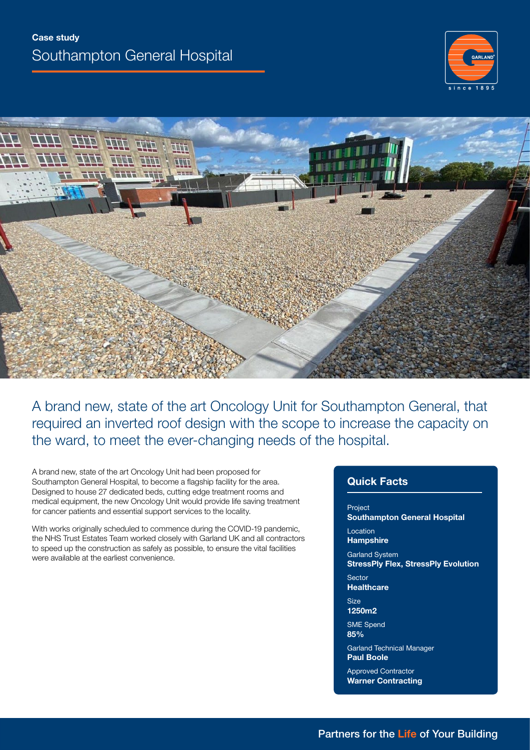



A brand new, state of the art Oncology Unit for Southampton General, that required an inverted roof design with the scope to increase the capacity on the ward, to meet the ever-changing needs of the hospital.

A brand new, state of the art Oncology Unit had been proposed for Southampton General Hospital, to become a flagship facility for the area. Designed to house 27 dedicated beds, cutting edge treatment rooms and medical equipment, the new Oncology Unit would provide life saving treatment for cancer patients and essential support services to the locality.

With works originally scheduled to commence during the COVID-19 pandemic, the NHS Trust Estates Team worked closely with Garland UK and all contractors to speed up the construction as safely as possible, to ensure the vital facilities were available at the earliest convenience.

# **Quick Facts**

Project **Southampton General Hospital Location** 

**Hampshire**

Garland System **StressPly Flex, StressPly Evolution**

**Sector Healthcare**

Size **1250m2**

SME Spend

**85%**

Garland Technical Manager **Paul Boole**

Approved Contractor **Warner Contracting**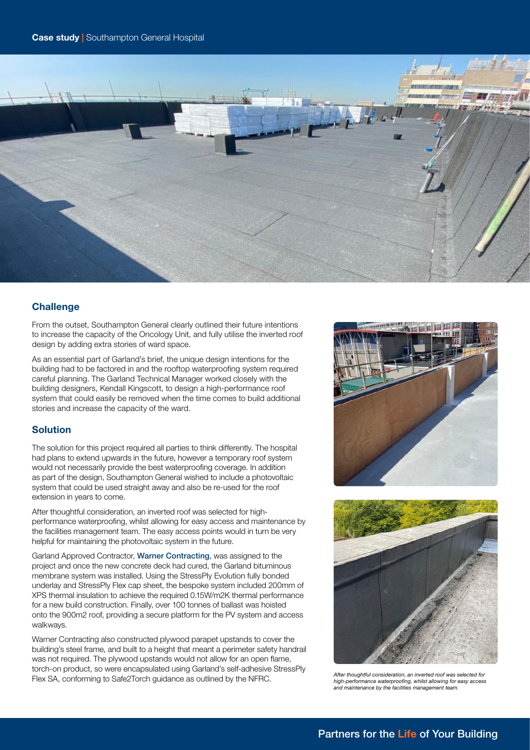

# **Challenge**

From the outset, Southampton General clearly outlined their future intentions to increase the capacity of the Oncology Unit, and fully utilise the inverted roof design by adding extra stories of ward space.

As an essential part of Garland's brief, the unique design intentions for the building had to be factored in and the rooftop waterproofing system required careful planning. The Garland Technical Manager worked closely with the building designers, Kendall Kingscott, to design a high-performance roof system that could easily be removed when the time comes to build additional stories and increase the capacity of the ward.

## **Solution**

The solution for this project required all parties to think differently. The hospital had plans to extend upwards in the future, however a temporary roof system would not necessarily provide the best waterproofing coverage. In addition as part of the design, Southampton General wished to include a photovoltaic system that could be used straight away and also be re-used for the roof extension in years to come.

After thoughtful consideration, an inverted roof was selected for highperformance waterproofing, whilst allowing for easy access and maintenance by the facilities management team. The easy access points would in turn be very helpful for maintaining the photovoltaic system in the future.

Garland Approved Contractor, [Warner Contracting](https://www.warnercontracting.co.uk), was assigned to the project and once the new concrete deck had cured, the Garland bituminous membrane system was installed. Using the StressPly Evolution fully bonded underlay and StressPly Flex cap sheet, the bespoke system included 200mm of XPS thermal insulation to achieve the required 0.15W/m2K thermal performance for a new build construction. Finally, over 100 tonnes of ballast was hoisted onto the 900m2 roof, providing a secure platform for the PV system and access walkways.

Warner Contracting also constructed plywood parapet upstands to cover the building's steel frame, and built to a height that meant a perimeter safety handrail was not required. The plywood upstands would not allow for an open flame, torch-on product, so were encapsulated using Garland's self-adhesive StressPly Flex SA, conforming to Safe2Torch guidance as outlined by the NFRC.<br>*After thoughtful consideration, an inverted roof was selected for After thoughtful consideration, an inverted roof was selected for* **First** *SA, confo* 





*high-performance waterproofing, whilst allowing for easy access and maintenance by the facilities management team.*